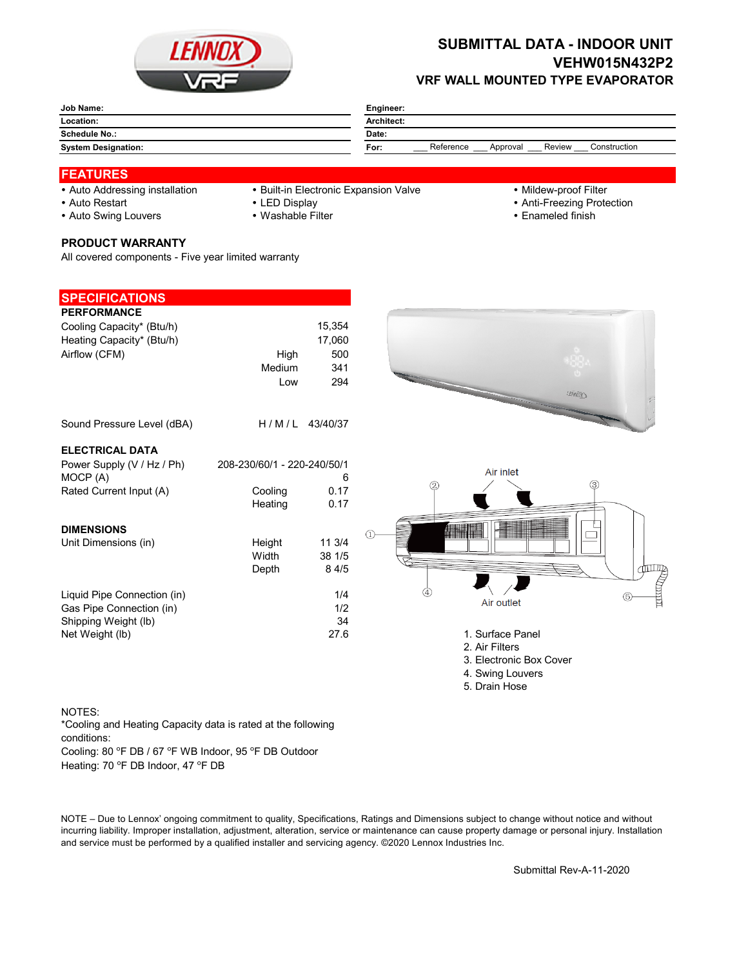

## **SUBMITTAL DATA - INDOOR UNIT VEHW015N432P2 VRF WALL MOUNTED TYPE EVAPORATOR**

| Job Name:                  | Engineer:<br><b>Architect:</b>                          |  |  |  |  |
|----------------------------|---------------------------------------------------------|--|--|--|--|
| Location:                  |                                                         |  |  |  |  |
| <b>Schedule No.:</b>       | Date:                                                   |  |  |  |  |
| <b>System Designation:</b> | Reference<br>Review<br>Construction<br>For:<br>Approval |  |  |  |  |

## **FEATURES**

- 
- Auto Addressing installation Built-in Electronic Expansion Valve Mildew-proof Filter
	-

- 
- Auto Restart **LED Display Community Protection** LED Display **Anti-Freezing Protection**
- Auto Swing Louvers Washable Filter **Enameled finish** Enameled finish
- **PRODUCT WARRANTY**

All covered components - Five year limited warranty

| <b>SPECIFICATIONS</b>       |                             |                  |
|-----------------------------|-----------------------------|------------------|
| <b>PERFORMANCE</b>          |                             |                  |
| Cooling Capacity* (Btu/h)   |                             | 15,354           |
| Heating Capacity* (Btu/h)   |                             | 17,060           |
| Airflow (CFM)               | High                        | 500              |
|                             | Medium                      | 341              |
|                             | Low                         | 294              |
|                             |                             |                  |
|                             |                             |                  |
| Sound Pressure Level (dBA)  |                             | $H/M/L$ 43/40/37 |
| <b>ELECTRICAL DATA</b>      |                             |                  |
| Power Supply (V / Hz / Ph)  | 208-230/60/1 - 220-240/50/1 |                  |
| MOCP (A)                    |                             | 6                |
| Rated Current Input (A)     | Cooling                     | 0.17             |
|                             | Heating                     | 0.17             |
|                             |                             |                  |
| <b>DIMENSIONS</b>           |                             |                  |
| Unit Dimensions (in)        | Height                      | 11 3/4           |
|                             | Width                       | 38 1/5           |
|                             | Depth                       | 8 4/5            |
| Liquid Pipe Connection (in) |                             | 1/4              |
| Gas Pipe Connection (in)    |                             | 1/2              |
| Shipping Weight (lb)        |                             | 34               |
| Net Weight (lb)             |                             | 27.6             |
|                             |                             |                  |
|                             |                             |                  |





- 
- lox Cover
- 4. Swing Louvers
- 5. Drain Hose

## NOTES:

\*Cooling and Heating Capacity data is rated at the following conditions:

Cooling: 80 °F DB / 67 °F WB Indoor, 95 °F DB Outdoor

Heating: 70 °F DB Indoor, 47 °F DB

NOTE – Due to Lennox' ongoing commitment to quality, Specifications, Ratings and Dimensions subject to change without notice and without incurring liability. Improper installation, adjustment, alteration, service or maintenance can cause property damage or personal injury. Installation and service must be performed by a qualified installer and servicing agency. ©2020 Lennox Industries Inc.